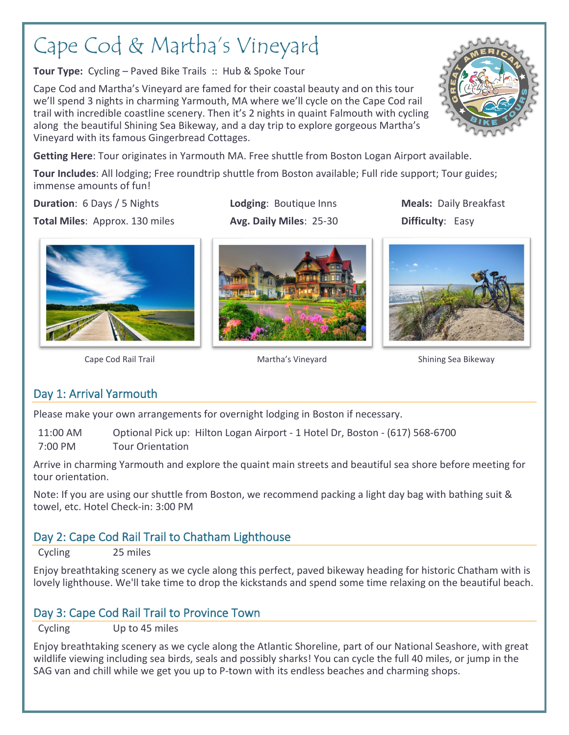# Cape Cod & Martha's Vineyard

**Tour Type:** Cycling – Paved Bike Trails :: Hub & Spoke Tour

Cape Cod and Martha's Vineyard are famed for their coastal beauty and on this tour we'll spend 3 nights in charming Yarmouth, MA where we'll cycle on the Cape Cod rail trail with incredible coastline scenery. Then it's 2 nights in quaint Falmouth with cycling along the beautiful Shining Sea Bikeway, and a day trip to explore gorgeous Martha's Vineyard with its famous Gingerbread Cottages.



**Tour Includes**: All lodging; Free roundtrip shuttle from Boston available; Full ride support; Tour guides; immense amounts of fun!

**Duration**: 6 Days / 5 Nights. **Lodging**: Boutique Inns **Meals:** Daily Breakfast

**Total Miles:** Approx. 130 miles **Avg. Daily Miles**: 25-30 **Difficulty**: Easy







Cape Cod Rail Trail **Martha's Vineyard** Shining Sea Bikeway

## Day 1: Arrival Yarmouth

Please make your own arrangements for overnight lodging in Boston if necessary.

11:00 AM Optional Pick up: Hilton Logan Airport - 1 Hotel Dr, Boston - (617) 568-6700 7:00 PM Tour Orientation

Arrive in charming Yarmouth and explore the quaint main streets and beautiful sea shore before meeting for tour orientation.

Note: If you are using our shuttle from Boston, we recommend packing a light day bag with bathing suit & towel, etc. Hotel Check-in: 3:00 PM

## Day 2: Cape Cod Rail Trail to Chatham Lighthouse

Cycling 25 miles

Enjoy breathtaking scenery as we cycle along this perfect, paved bikeway heading for historic Chatham with is lovely lighthouse. We'll take time to drop the kickstands and spend some time relaxing on the beautiful beach.

## Day 3: Cape Cod Rail Trail to Province Town

Cycling Up to 45 miles

Enjoy breathtaking scenery as we cycle along the Atlantic Shoreline, part of our National Seashore, with great wildlife viewing including sea birds, seals and possibly sharks! You can cycle the full 40 miles, or jump in the SAG van and chill while we get you up to P-town with its endless beaches and charming shops.